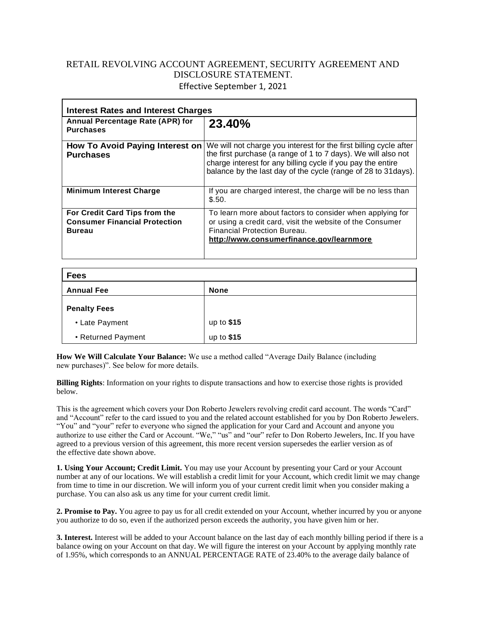## RETAIL REVOLVING ACCOUNT AGREEMENT, SECURITY AGREEMENT AND DISCLOSURE STATEMENT. Effective September 1, 2021

| <b>Interest Rates and Interest Charges</b>                                             |                                                                                                                                                                                                                                                                     |
|----------------------------------------------------------------------------------------|---------------------------------------------------------------------------------------------------------------------------------------------------------------------------------------------------------------------------------------------------------------------|
| Annual Percentage Rate (APR) for<br><b>Purchases</b>                                   | 23.40%                                                                                                                                                                                                                                                              |
| <b>How To Avoid Paying Interest on</b><br><b>Purchases</b>                             | We will not charge you interest for the first billing cycle after<br>the first purchase (a range of 1 to 7 days). We will also not<br>charge interest for any billing cycle if you pay the entire<br>balance by the last day of the cycle (range of 28 to 31 days). |
| <b>Minimum Interest Charge</b>                                                         | If you are charged interest, the charge will be no less than<br>\$.50.                                                                                                                                                                                              |
| For Credit Card Tips from the<br><b>Consumer Financial Protection</b><br><b>Bureau</b> | To learn more about factors to consider when applying for<br>or using a credit card, visit the website of the Consumer<br>Financial Protection Bureau.<br>http://www.consumerfinance.gov/learnmore                                                                  |

| <b>Fees</b>         |             |
|---------------------|-------------|
| <b>Annual Fee</b>   | <b>None</b> |
| <b>Penalty Fees</b> |             |
| • Late Payment      | up to $$15$ |
| • Returned Payment  | up to \$15  |

**How We Will Calculate Your Balance:** We use a method called "Average Daily Balance (including new purchases)". See below for more details.

**Billing Rights**: Information on your rights to dispute transactions and how to exercise those rights is provided below.

This is the agreement which covers your Don Roberto Jewelers revolving credit card account. The words "Card" and "Account" refer to the card issued to you and the related account established for you by Don Roberto Jewelers. "You" and "your" refer to everyone who signed the application for your Card and Account and anyone you authorize to use either the Card or Account. "We," "us" and "our" refer to Don Roberto Jewelers, Inc. If you have agreed to a previous version of this agreement, this more recent version supersedes the earlier version as of the effective date shown above.

**1. Using Your Account; Credit Limit.** You may use your Account by presenting your Card or your Account number at any of our locations. We will establish a credit limit for your Account, which credit limit we may change from time to time in our discretion. We will inform you of your current credit limit when you consider making a purchase. You can also ask us any time for your current credit limit.

**2. Promise to Pay.** You agree to pay us for all credit extended on your Account, whether incurred by you or anyone you authorize to do so, even if the authorized person exceeds the authority, you have given him or her.

**3. Interest.** Interest will be added to your Account balance on the last day of each monthly billing period if there is a balance owing on your Account on that day. We will figure the interest on your Account by applying monthly rate of 1.95%, which corresponds to an ANNUAL PERCENTAGE RATE of 23.40% to the average daily balance of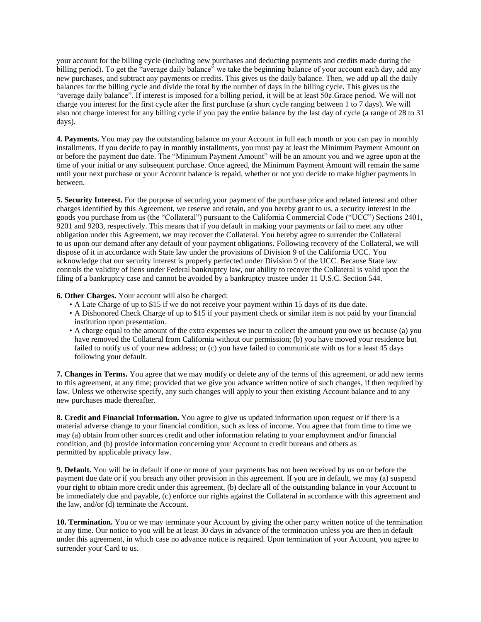your account for the billing cycle (including new purchases and deducting payments and credits made during the billing period). To get the "average daily balance" we take the beginning balance of your account each day, add any new purchases, and subtract any payments or credits. This gives us the daily balance. Then, we add up all the daily balances for the billing cycle and divide the total by the number of days in the billing cycle. This gives us the "average daily balance". If interest is imposed for a billing period, it will be at least 50¢.Grace period. We will not charge you interest for the first cycle after the first purchase (a short cycle ranging between 1 to 7 days). We will also not charge interest for any billing cycle if you pay the entire balance by the last day of cycle (a range of 28 to 31 days).

**4. Payments.** You may pay the outstanding balance on your Account in full each month or you can pay in monthly installments. If you decide to pay in monthly installments, you must pay at least the Minimum Payment Amount on or before the payment due date. The "Minimum Payment Amount" will be an amount you and we agree upon at the time of your initial or any subsequent purchase. Once agreed, the Minimum Payment Amount will remain the same until your next purchase or your Account balance is repaid, whether or not you decide to make higher payments in between.

**5. Security Interest.** For the purpose of securing your payment of the purchase price and related interest and other charges identified by this Agreement, we reserve and retain, and you hereby grant to us, a security interest in the goods you purchase from us (the "Collateral") pursuant to the California Commercial Code ("UCC") Sections 2401, 9201 and 9203, respectively. This means that if you default in making your payments or fail to meet any other obligation under this Agreement, we may recover the Collateral. You hereby agree to surrender the Collateral to us upon our demand after any default of your payment obligations. Following recovery of the Collateral, we will dispose of it in accordance with State law under the provisions of Division 9 of the California UCC. You acknowledge that our security interest is properly perfected under Division 9 of the UCC. Because State law controls the validity of liens under Federal bankruptcy law, our ability to recover the Collateral is valid upon the filing of a bankruptcy case and cannot be avoided by a bankruptcy trustee under 11 U.S.C. Section 544.

**6. Other Charges.** Your account will also be charged:

- A Late Charge of up to \$15 if we do not receive your payment within 15 days of its due date.
- A Dishonored Check Charge of up to \$15 if your payment check or similar item is not paid by your financial institution upon presentation.
- A charge equal to the amount of the extra expenses we incur to collect the amount you owe us because (a) you have removed the Collateral from California without our permission; (b) you have moved your residence but failed to notify us of your new address; or (c) you have failed to communicate with us for a least 45 days following your default.

**7. Changes in Terms.** You agree that we may modify or delete any of the terms of this agreement, or add new terms to this agreement, at any time; provided that we give you advance written notice of such changes, if then required by law. Unless we otherwise specify, any such changes will apply to your then existing Account balance and to any new purchases made thereafter.

**8. Credit and Financial Information.** You agree to give us updated information upon request or if there is a material adverse change to your financial condition, such as loss of income. You agree that from time to time we may (a) obtain from other sources credit and other information relating to your employment and/or financial condition, and (b) provide information concerning your Account to credit bureaus and others as permitted by applicable privacy law.

**9. Default.** You will be in default if one or more of your payments has not been received by us on or before the payment due date or if you breach any other provision in this agreement. If you are in default, we may (a) suspend your right to obtain more credit under this agreement, (b) declare all of the outstanding balance in your Account to be immediately due and payable, (c) enforce our rights against the Collateral in accordance with this agreement and the law, and/or (d) terminate the Account.

**10. Termination.** You or we may terminate your Account by giving the other party written notice of the termination at any time. Our notice to you will be at least 30 days in advance of the termination unless you are then in default under this agreement, in which case no advance notice is required. Upon termination of your Account, you agree to surrender your Card to us.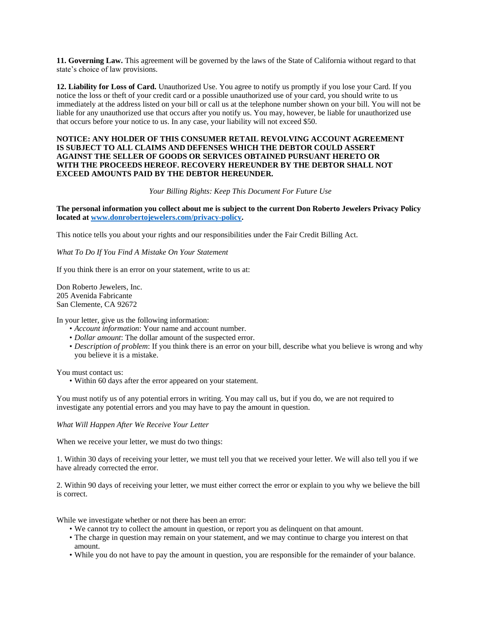**11. Governing Law.** This agreement will be governed by the laws of the State of California without regard to that state's choice of law provisions.

**12. Liability for Loss of Card.** Unauthorized Use. You agree to notify us promptly if you lose your Card. If you notice the loss or theft of your credit card or a possible unauthorized use of your card, you should write to us immediately at the address listed on your bill or call us at the telephone number shown on your bill. You will not be liable for any unauthorized use that occurs after you notify us. You may, however, be liable for unauthorized use that occurs before your notice to us. In any case, your liability will not exceed \$50.

## **NOTICE: ANY HOLDER OF THIS CONSUMER RETAIL REVOLVING ACCOUNT AGREEMENT IS SUBJECT TO ALL CLAIMS AND DEFENSES WHICH THE DEBTOR COULD ASSERT AGAINST THE SELLER OF GOODS OR SERVICES OBTAINED PURSUANT HERETO OR WITH THE PROCEEDS HEREOF. RECOVERY HEREUNDER BY THE DEBTOR SHALL NOT EXCEED AMOUNTS PAID BY THE DEBTOR HEREUNDER.**

## *Your Billing Rights: Keep This Document For Future Use*

**The personal information you collect about me is subject to the current Don Roberto Jewelers Privacy Policy located at [www.donrobertojewelers.com/privacy-policy.](http://www.donrobertojewelers.com/privacy-policy)**

This notice tells you about your rights and our responsibilities under the Fair Credit Billing Act.

*What To Do If You Find A Mistake On Your Statement*

If you think there is an error on your statement, write to us at:

Don Roberto Jewelers, Inc. 205 Avenida Fabricante San Clemente, CA 92672

In your letter, give us the following information:

- *Account information*: Your name and account number.
- *Dollar amount*: The dollar amount of the suspected error.
- *Description of problem*: If you think there is an error on your bill, describe what you believe is wrong and why you believe it is a mistake.

You must contact us:

• Within 60 days after the error appeared on your statement.

You must notify us of any potential errors in writing. You may call us, but if you do, we are not required to investigate any potential errors and you may have to pay the amount in question.

*What Will Happen After We Receive Your Letter*

When we receive your letter, we must do two things:

1. Within 30 days of receiving your letter, we must tell you that we received your letter. We will also tell you if we have already corrected the error.

2. Within 90 days of receiving your letter, we must either correct the error or explain to you why we believe the bill is correct.

While we investigate whether or not there has been an error:

- We cannot try to collect the amount in question, or report you as delinquent on that amount.
- The charge in question may remain on your statement, and we may continue to charge you interest on that amount.
- While you do not have to pay the amount in question, you are responsible for the remainder of your balance.